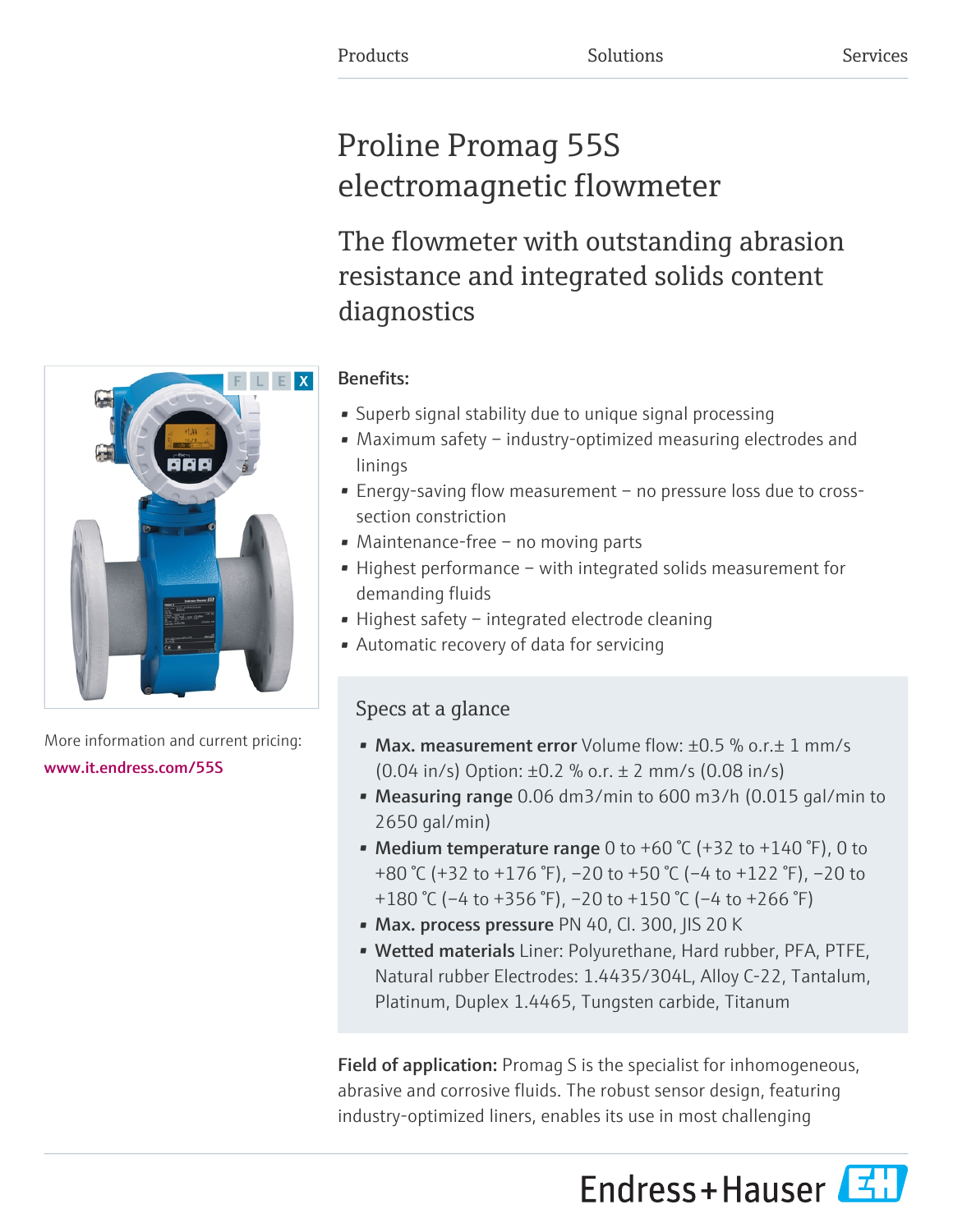# Proline Promag 55S electromagnetic flowmeter

The flowmeter with outstanding abrasion resistance and integrated solids content diagnostics

# Benefits:

- Superb signal stability due to unique signal processing
- Maximum safety industry-optimized measuring electrodes and linings
- Energy-saving flow measurement no pressure loss due to crosssection constriction
- Maintenance-free no moving parts
- Highest performance with integrated solids measurement for demanding fluids
- Highest safety integrated electrode cleaning
- Automatic recovery of data for servicing

# Specs at a glance

- Max. measurement error Volume flow: ±0.5 % o.r. $\pm$  1 mm/s (0.04 in/s) Option: ±0.2 % o.r. ± 2 mm/s (0.08 in/s)
- Measuring range 0.06 dm3/min to 600 m3/h (0.015 gal/min to 2650 gal/min)
- Medium temperature range 0 to +60 °C (+32 to +140 °F), 0 to +80 °C (+32 to +176 °F), –20 to +50 °C (–4 to +122 °F), –20 to +180 °C (–4 to +356 °F), –20 to +150 °C (–4 to +266 °F)
- Max. process pressure PN 40, Cl. 300, JIS 20 K
- Wetted materials Liner: Polyurethane, Hard rubber, PFA, PTFE, Natural rubber Electrodes: 1.4435/304L, Alloy C-22, Tantalum, Platinum, Duplex 1.4465, Tungsten carbide, Titanum

**Field of application:** Promag S is the specialist for inhomogeneous, abrasive and corrosive fluids. The robust sensor design, featuring industry-optimized liners, enables its use in most challenging





More information and current pricing: [www.it.endress.com/55S](https://www.it.endress.com/55S)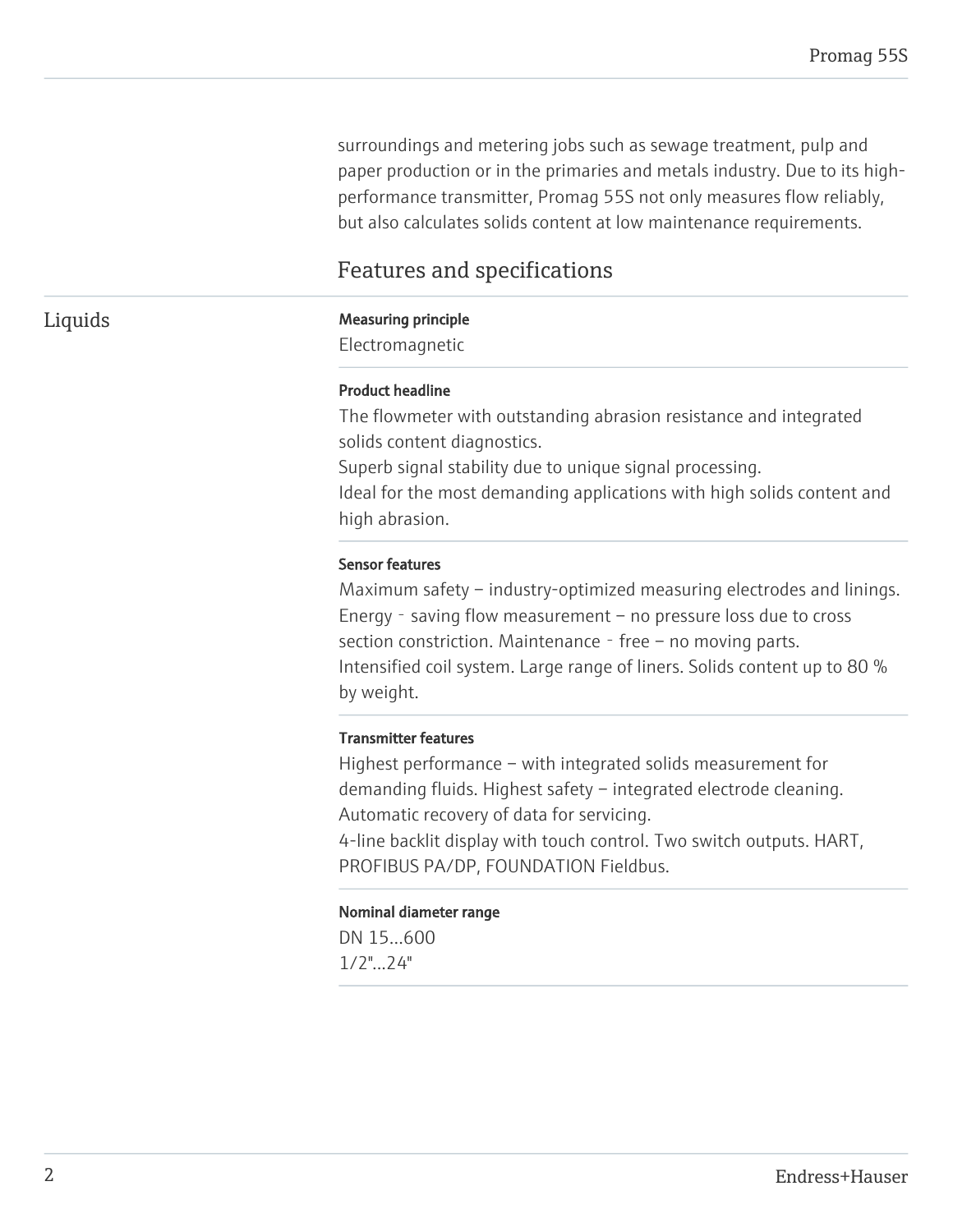surroundings and metering jobs such as sewage treatment, pulp and paper production or in the primaries and metals industry. Due to its highperformance transmitter, Promag 55S not only measures flow reliably, but also calculates solids content at low maintenance requirements.

# Features and specifications

#### Liquids Measuring principle

Electromagnetic

#### Product headline

The flowmeter with outstanding abrasion resistance and integrated solids content diagnostics. Superb signal stability due to unique signal processing. Ideal for the most demanding applications with high solids content and

# Sensor features

high abrasion.

Maximum safety – industry-optimized measuring electrodes and linings. Energy - saving flow measurement – no pressure loss due to cross section constriction. Maintenance - free – no moving parts. Intensified coil system. Large range of liners. Solids content up to 80 % by weight.

#### Transmitter features

Highest performance – with integrated solids measurement for demanding fluids. Highest safety – integrated electrode cleaning. Automatic recovery of data for servicing.

4-line backlit display with touch control. Two switch outputs. HART, PROFIBUS PA/DP, FOUNDATION Fieldbus.

#### Nominal diameter range

DN 15...600 1/2"...24"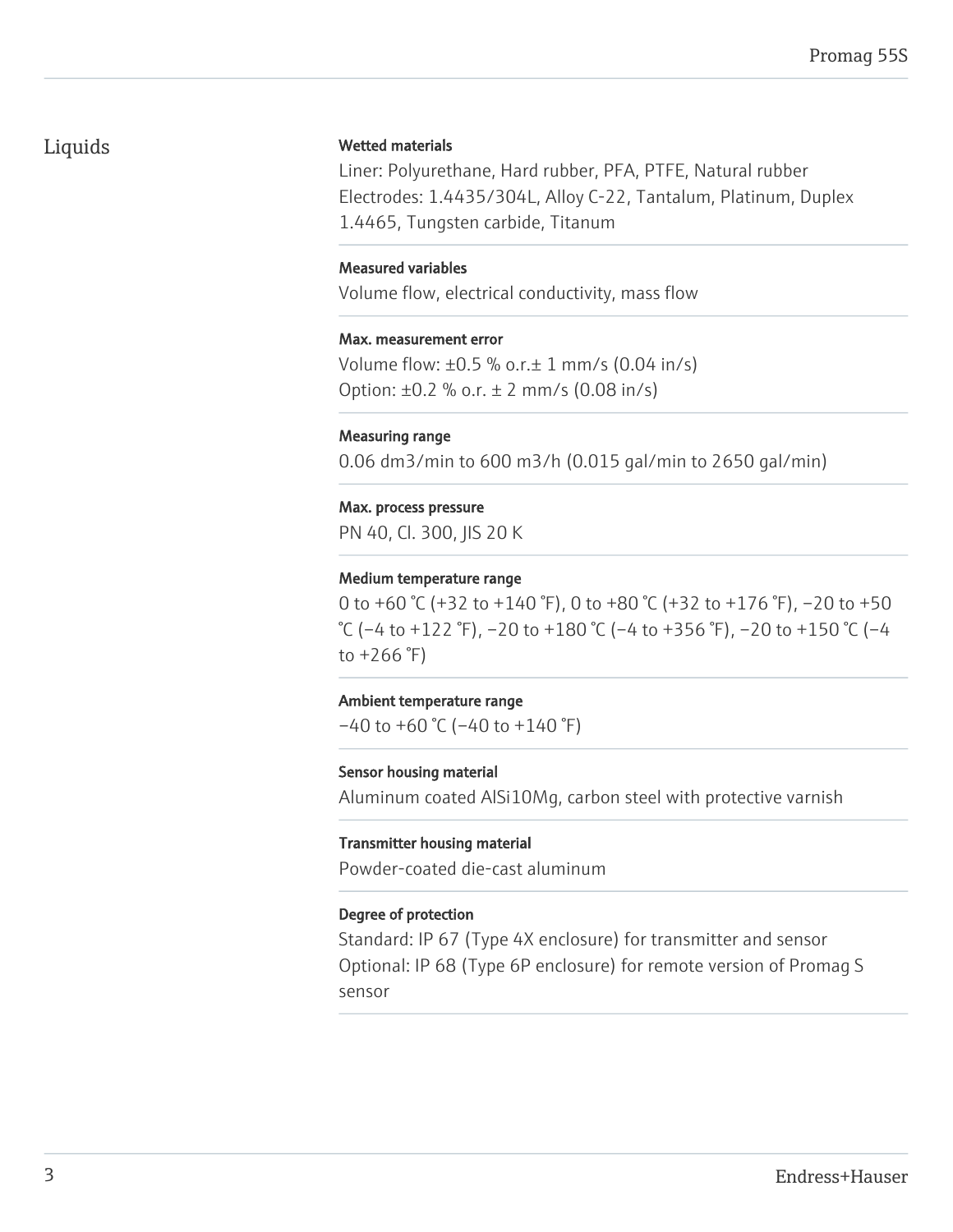# Liquids

#### Wetted materials

Liner: Polyurethane, Hard rubber, PFA, PTFE, Natural rubber Electrodes: 1.4435/304L, Alloy C-22, Tantalum, Platinum, Duplex 1.4465, Tungsten carbide, Titanum

#### Measured variables

Volume flow, electrical conductivity, mass flow

#### Max. measurement error

Volume flow: ±0.5 % o.r.± 1 mm/s (0.04 in/s) Option:  $\pm 0.2$  % o.r.  $\pm 2$  mm/s (0.08 in/s)

#### Measuring range

0.06 dm3/min to 600 m3/h (0.015 gal/min to 2650 gal/min)

#### Max. process pressure

PN 40, Cl. 300, JIS 20 K

#### Medium temperature range

0 to +60 °C (+32 to +140 °F), 0 to +80 °C (+32 to +176 °F), –20 to +50 °C (–4 to +122 °F), –20 to +180 °C (–4 to +356 °F), –20 to +150 °C (–4 to  $+266$ °F)

#### Ambient temperature range

 $-40$  to  $+60$  °C ( $-40$  to  $+140$  °F)

#### Sensor housing material

Aluminum coated AlSi10Mg, carbon steel with protective varnish

#### Transmitter housing material

Powder-coated die-cast aluminum

#### Degree of protection

Standard: IP 67 (Type 4X enclosure) for transmitter and sensor Optional: IP 68 (Type 6P enclosure) for remote version of Promag S sensor